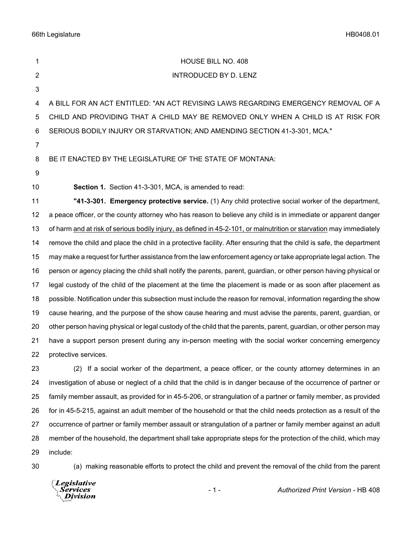66th Legislature HB0408.01

| 1              | HOUSE BILL NO. 408                                                                                                   |
|----------------|----------------------------------------------------------------------------------------------------------------------|
| $\overline{2}$ | <b>INTRODUCED BY D. LENZ</b>                                                                                         |
| 3              |                                                                                                                      |
| 4              | A BILL FOR AN ACT ENTITLED: "AN ACT REVISING LAWS REGARDING EMERGENCY REMOVAL OF A                                   |
| 5              | CHILD AND PROVIDING THAT A CHILD MAY BE REMOVED ONLY WHEN A CHILD IS AT RISK FOR                                     |
| 6              | SERIOUS BODILY INJURY OR STARVATION; AND AMENDING SECTION 41-3-301, MCA."                                            |
| 7              |                                                                                                                      |
| 8              | BE IT ENACTED BY THE LEGISLATURE OF THE STATE OF MONTANA:                                                            |
| 9              |                                                                                                                      |
| 10             | Section 1. Section 41-3-301, MCA, is amended to read:                                                                |
| 11             | "41-3-301. Emergency protective service. (1) Any child protective social worker of the department,                   |
| 12             | a peace officer, or the county attorney who has reason to believe any child is in immediate or apparent danger       |
| 13             | of harm and at risk of serious bodily injury, as defined in 45-2-101, or malnutrition or starvation may immediately  |
| 14             | remove the child and place the child in a protective facility. After ensuring that the child is safe, the department |
| 15             | may make a request for further assistance from the law enforcement agency or take appropriate legal action. The      |
| 16             | person or agency placing the child shall notify the parents, parent, guardian, or other person having physical or    |
| 17             | legal custody of the child of the placement at the time the placement is made or as soon after placement as          |
| 18             | possible. Notification under this subsection must include the reason for removal, information regarding the show     |
| 19             | cause hearing, and the purpose of the show cause hearing and must advise the parents, parent, guardian, or           |
| 20             | other person having physical or legal custody of the child that the parents, parent, guardian, or other person may   |
| 21             | have a support person present during any in-person meeting with the social worker concerning emergency               |
| 22             | protective services.                                                                                                 |
| 23             | (2) If a social worker of the department, a peace officer, or the county attorney determines in an                   |
| 24             | investigation of abuse or neglect of a child that the child is in danger because of the occurrence of partner or     |
| 25             | family member assault, as provided for in 45-5-206, or strangulation of a partner or family member, as provided      |
| 26             | for in 45-5-215, against an adult member of the household or that the child needs protection as a result of the      |
| 27             | occurrence of partner or family member assault or strangulation of a partner or family member against an adult       |
| 28             | member of the household, the department shall take appropriate steps for the protection of the child, which may      |
| 29             | include:                                                                                                             |

(a) making reasonable efforts to protect the child and prevent the removal of the child from the parent

*Legislative*<br>Services<br>*Division*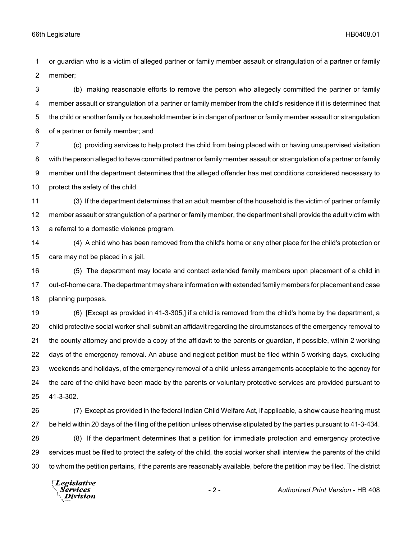or guardian who is a victim of alleged partner or family member assault or strangulation of a partner or family member;

 (b) making reasonable efforts to remove the person who allegedly committed the partner or family member assault or strangulation of a partner or family member from the child's residence if it is determined that the child or another family or household member is in danger of partner or family member assault or strangulation of a partner or family member; and

 (c) providing services to help protect the child from being placed with or having unsupervised visitation with the person alleged to have committed partner or family member assault or strangulation of a partner or family member until the department determines that the alleged offender has met conditions considered necessary to protect the safety of the child.

 (3) If the department determines that an adult member of the household is the victim of partner or family member assault or strangulation of a partner or family member, the department shall provide the adult victim with a referral to a domestic violence program.

 (4) A child who has been removed from the child's home or any other place for the child's protection or care may not be placed in a jail.

 (5) The department may locate and contact extended family members upon placement of a child in out-of-home care. The department may share information with extended family members for placement and case planning purposes.

 (6) [Except as provided in 41-3-305,] if a child is removed from the child's home by the department, a child protective social worker shall submit an affidavit regarding the circumstances of the emergency removal to the county attorney and provide a copy of the affidavit to the parents or guardian, if possible, within 2 working days of the emergency removal. An abuse and neglect petition must be filed within 5 working days, excluding weekends and holidays, of the emergency removal of a child unless arrangements acceptable to the agency for the care of the child have been made by the parents or voluntary protective services are provided pursuant to 41-3-302.

 (7) Except as provided in the federal Indian Child Welfare Act, if applicable, a show cause hearing must be held within 20 days of the filing of the petition unless otherwise stipulated by the parties pursuant to 41-3-434. (8) If the department determines that a petition for immediate protection and emergency protective services must be filed to protect the safety of the child, the social worker shall interview the parents of the child to whom the petition pertains, if the parents are reasonably available, before the petition may be filed. The district

Legislative *Services* **Division**